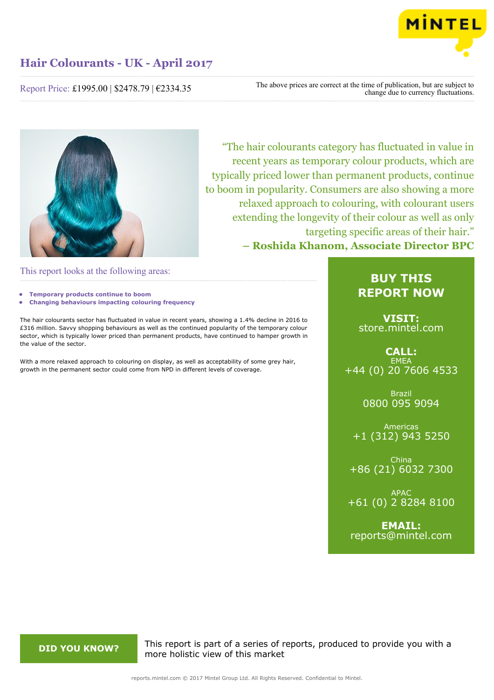

Report Price: £1995.00 | \$2478.79 | €2334.35

The above prices are correct at the time of publication, but are subject to change due to currency fluctuations.



"The hair colourants category has fluctuated in value in recent years as temporary colour products, which are typically priced lower than permanent products, continue to boom in popularity. Consumers are also showing a more relaxed approach to colouring, with colourant users extending the longevity of their colour as well as only targeting specific areas of their hair." **– Roshida Khanom, Associate Director BPC**

This report looks at the following areas:

- **• Temporary products continue to boom**
- **• Changing behaviours impacting colouring frequency**

The hair colourants sector has fluctuated in value in recent years, showing a 1.4% decline in 2016 to £316 million. Savvy shopping behaviours as well as the continued popularity of the temporary colour sector, which is typically lower priced than permanent products, have continued to hamper growth in the value of the sector.

With a more relaxed approach to colouring on display, as well as acceptability of some grey hair, growth in the permanent sector could come from NPD in different levels of coverage.

## **BUY THIS REPORT NOW**

**VISIT:** [store.mintel.com](http://reports.mintel.com//display/store/792687/)

## **CALL: EMEA** +44 (0) 20 7606 4533

Brazil 0800 095 9094

Americas +1 (312) 943 5250

China +86 (21) 6032 7300

APAC +61 (0) 2 8284 8100

**EMAIL:** [reports@mintel.com](mailto:reports@mintel.com)

**DID YOU KNOW?** This report is part of a series of reports, produced to provide you with a more holistic view of this market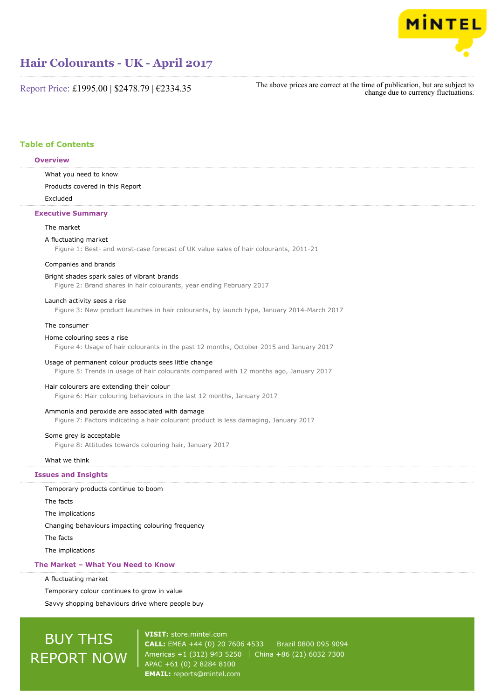

Report Price: £1995.00 | \$2478.79 | €2334.35

The above prices are correct at the time of publication, but are subject to change due to currency fluctuations.

## **Table of Contents**

#### **Overview**

What you need to know

Products covered in this Report

Excluded

#### **Executive Summary**

#### The market

#### A fluctuating market

Figure 1: Best- and worst-case forecast of UK value sales of hair colourants, 2011-21

#### Companies and brands

Bright shades spark sales of vibrant brands

Figure 2: Brand shares in hair colourants, year ending February 2017

#### Launch activity sees a rise

Figure 3: New product launches in hair colourants, by launch type, January 2014-March 2017

#### The consumer

#### Home colouring sees a rise

Figure 4: Usage of hair colourants in the past 12 months, October 2015 and January 2017

#### Usage of permanent colour products sees little change

Figure 5: Trends in usage of hair colourants compared with 12 months ago, January 2017

#### Hair colourers are extending their colour

Figure 6: Hair colouring behaviours in the last 12 months, January 2017

### Ammonia and peroxide are associated with damage

Figure 7: Factors indicating a hair colourant product is less damaging, January 2017

## Some grey is acceptable

Figure 8: Attitudes towards colouring hair, January 2017

#### What we think

#### **Issues and Insights**

Temporary products continue to boom

The facts

The implications

Changing behaviours impacting colouring frequency

The facts

The implications

#### **The Market – What You Need to Know**

A fluctuating market

Temporary colour continues to grow in value

Savvy shopping behaviours drive where people buy

# BUY THIS REPORT NOW

**VISIT:** [store.mintel.com](http://reports.mintel.com//display/store/792687/) **CALL:** EMEA +44 (0) 20 7606 4533 | Brazil 0800 095 9094 Americas +1 (312) 943 5250 | China +86 (21) 6032 7300 APAC +61 (0) 2 8284 8100 **EMAIL:** [reports@mintel.com](mailto:reports@mintel.com)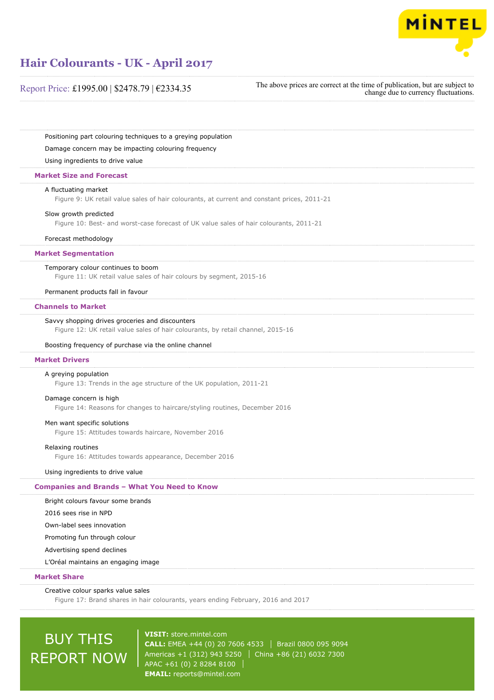

## Report Price: £1995.00 | \$2478.79 | €2334.35

The above prices are correct at the time of publication, but are subject to change due to currency fluctuations.

Positioning part colouring techniques to a greying population

Damage concern may be impacting colouring frequency

Using ingredients to drive value

### **Market Size and Forecast**

#### A fluctuating market

Figure 9: UK retail value sales of hair colourants, at current and constant prices, 2011-21

#### Slow growth predicted

Figure 10: Best- and worst-case forecast of UK value sales of hair colourants, 2011-21

#### Forecast methodology

#### **Market Segmentation**

#### Temporary colour continues to boom

Figure 11: UK retail value sales of hair colours by segment, 2015-16

#### Permanent products fall in favour

#### **Channels to Market**

#### Savvy shopping drives groceries and discounters

Figure 12: UK retail value sales of hair colourants, by retail channel, 2015-16

#### Boosting frequency of purchase via the online channel

#### **Market Drivers**

#### A greying population

Figure 13: Trends in the age structure of the UK population, 2011-21

#### Damage concern is high

Figure 14: Reasons for changes to haircare/styling routines, December 2016

#### Men want specific solutions

Figure 15: Attitudes towards haircare, November 2016

#### Relaxing routines

Figure 16: Attitudes towards appearance, December 2016

#### Using ingredients to drive value

#### **Companies and Brands – What You Need to Know**

Bright colours favour some brands

2016 sees rise in NPD

Own-label sees innovation

Promoting fun through colour

Advertising spend declines

L'Oréal maintains an engaging image

### **Market Share**

#### Creative colour sparks value sales

Figure 17: Brand shares in hair colourants, years ending February, 2016 and 2017

# BUY THIS REPORT NOW

**VISIT:** [store.mintel.com](http://reports.mintel.com//display/store/792687/) **CALL:** EMEA +44 (0) 20 7606 4533 Brazil 0800 095 9094 Americas +1 (312) 943 5250 | China +86 (21) 6032 7300 APAC +61 (0) 2 8284 8100 **EMAIL:** [reports@mintel.com](mailto:reports@mintel.com)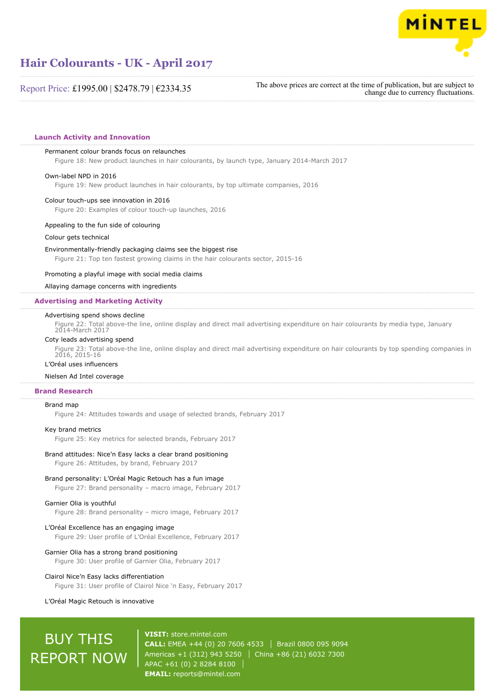

Report Price: £1995.00 | \$2478.79 | €2334.35

The above prices are correct at the time of publication, but are subject to change due to currency fluctuations.

#### **Launch Activity and Innovation**

#### Permanent colour brands focus on relaunches

Figure 18: New product launches in hair colourants, by launch type, January 2014-March 2017

#### Own-label NPD in 2016

Figure 19: New product launches in hair colourants, by top ultimate companies, 2016

#### Colour touch-ups see innovation in 2016

Figure 20: Examples of colour touch-up launches, 2016

#### Appealing to the fun side of colouring

Colour gets technical

#### Environmentally-friendly packaging claims see the biggest rise

Figure 21: Top ten fastest growing claims in the hair colourants sector, 2015-16

#### Promoting a playful image with social media claims

#### Allaying damage concerns with ingredients

#### **Advertising and Marketing Activity**

#### Advertising spend shows decline

Figure 22: Total above-the line, online display and direct mail advertising expenditure on hair colourants by media type, January 2014-March 2017

#### Coty leads advertising spend

Figure 23: Total above-the line, online display and direct mail advertising expenditure on hair colourants by top spending companies in 2016, 2015-16

## L'Oréal uses influencers

## Nielsen Ad Intel coverage

#### **Brand Research**

#### Brand map

Figure 24: Attitudes towards and usage of selected brands, February 2017

#### Key brand metrics

Figure 25: Key metrics for selected brands, February 2017

#### Brand attitudes: Nice'n Easy lacks a clear brand positioning

Figure 26: Attitudes, by brand, February 2017

#### Brand personality: L'Oréal Magic Retouch has a fun image

Figure 27: Brand personality – macro image, February 2017

#### Garnier Olia is youthful

Figure 28: Brand personality – micro image, February 2017

#### L'Oréal Excellence has an engaging image

Figure 29: User profile of L'Oréal Excellence, February 2017

#### Garnier Olia has a strong brand positioning

Figure 30: User profile of Garnier Olia, February 2017

#### Clairol Nice'n Easy lacks differentiation

Figure 31: User profile of Clairol Nice 'n Easy, February 2017

#### L'Oréal Magic Retouch is innovative

# BUY THIS REPORT NOW

**VISIT:** [store.mintel.com](http://reports.mintel.com//display/store/792687/) **CALL:** EMEA +44 (0) 20 7606 4533 Brazil 0800 095 9094 Americas +1 (312) 943 5250 | China +86 (21) 6032 7300 APAC +61 (0) 2 8284 8100 **EMAIL:** [reports@mintel.com](mailto:reports@mintel.com)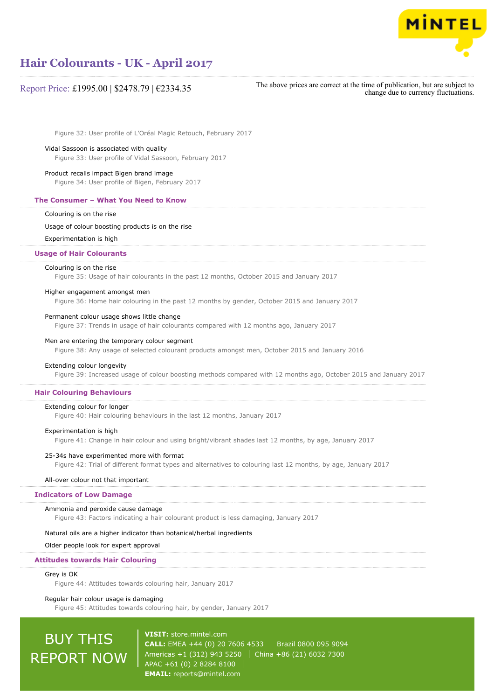

### Report Price: £1995.00 | \$2478.79 | €2334.35

The above prices are correct at the time of publication, but are subject to change due to currency fluctuations.

Figure 32: User profile of L'Oréal Magic Retouch, February 2017

#### Vidal Sassoon is associated with quality

Figure 33: User profile of Vidal Sassoon, February 2017

#### Product recalls impact Bigen brand image

Figure 34: User profile of Bigen, February 2017

#### **The Consumer – What You Need to Know**

#### Colouring is on the rise

#### Usage of colour boosting products is on the rise

Experimentation is high

#### **Usage of Hair Colourants**

#### Colouring is on the rise

Figure 35: Usage of hair colourants in the past 12 months, October 2015 and January 2017

#### Higher engagement amongst men

Figure 36: Home hair colouring in the past 12 months by gender, October 2015 and January 2017

#### Permanent colour usage shows little change

Figure 37: Trends in usage of hair colourants compared with 12 months ago, January 2017

#### Men are entering the temporary colour segment

Figure 38: Any usage of selected colourant products amongst men, October 2015 and January 2016

#### Extending colour longevity

Figure 39: Increased usage of colour boosting methods compared with 12 months ago, October 2015 and January 2017

#### **Hair Colouring Behaviours**

Extending colour for longer

Figure 40: Hair colouring behaviours in the last 12 months, January 2017

#### Experimentation is high

Figure 41: Change in hair colour and using bright/vibrant shades last 12 months, by age, January 2017

#### 25-34s have experimented more with format

Figure 42: Trial of different format types and alternatives to colouring last 12 months, by age, January 2017

#### All-over colour not that important

#### **Indicators of Low Damage**

#### Ammonia and peroxide cause damage

Figure 43: Factors indicating a hair colourant product is less damaging, January 2017

#### Natural oils are a higher indicator than botanical/herbal ingredients

Older people look for expert approval

#### **Attitudes towards Hair Colouring**

#### Grey is OK

Figure 44: Attitudes towards colouring hair, January 2017

#### Regular hair colour usage is damaging

Figure 45: Attitudes towards colouring hair, by gender, January 2017

# BUY THIS REPORT NOW

**VISIT:** [store.mintel.com](http://reports.mintel.com//display/store/792687/) **CALL:** EMEA +44 (0) 20 7606 4533 Brazil 0800 095 9094 Americas +1 (312) 943 5250 | China +86 (21) 6032 7300 APAC +61 (0) 2 8284 8100 **EMAIL:** [reports@mintel.com](mailto:reports@mintel.com)